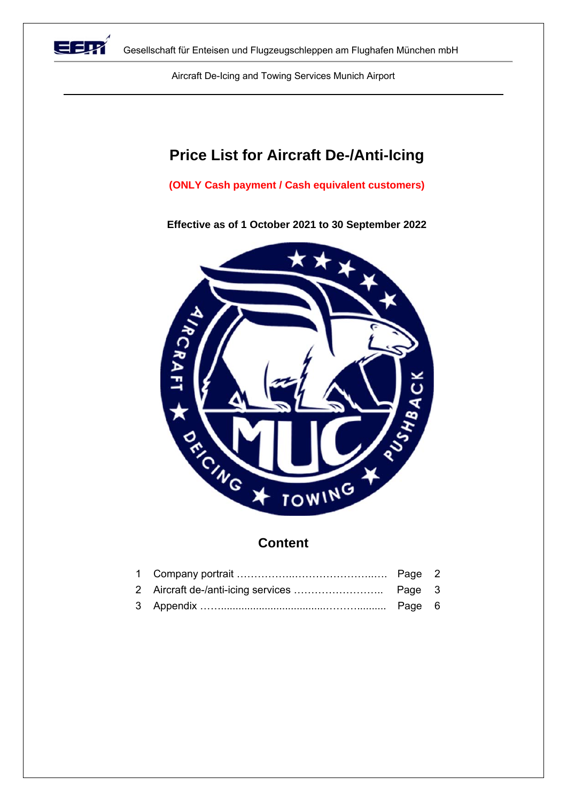

Gesellschaft für Enteisen und Flugzeugschleppen am Flughafen München mbH

Aircraft De-Icing and Towing Services Munich Airport

## **Price List for Aircraft De-/Anti-Icing**

**(ONLY Cash payment / Cash equivalent customers)** 

**Effective as of 1 October 2021 to 30 September 2022** 



## **Content**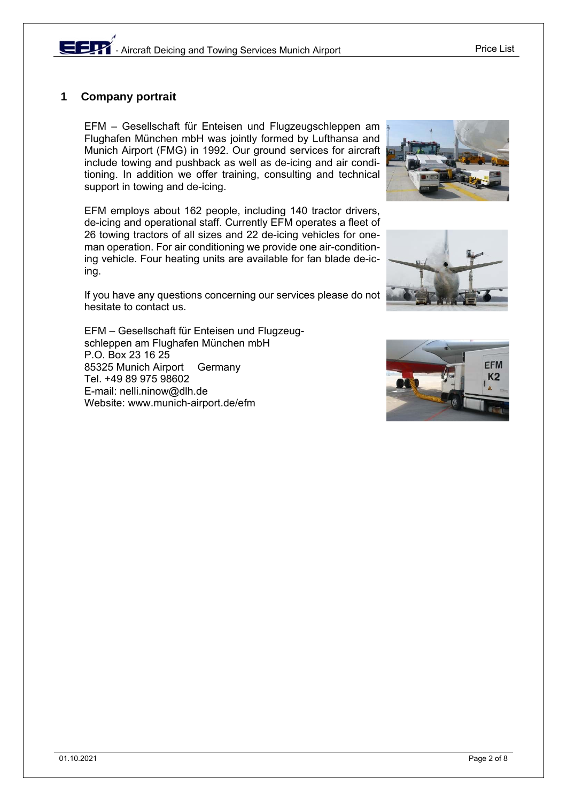### **1 Company portrait**

EFM – Gesellschaft für Enteisen und Flugzeugschleppen am Flughafen München mbH was jointly formed by Lufthansa and Munich Airport (FMG) in 1992. Our ground services for aircraft include towing and pushback as well as de-icing and air conditioning. In addition we offer training, consulting and technical support in towing and de-icing.

EFM employs about 162 people, including 140 tractor drivers, de-icing and operational staff. Currently EFM operates a fleet of 26 towing tractors of all sizes and 22 de-icing vehicles for oneman operation. For air conditioning we provide one air-conditioning vehicle. Four heating units are available for fan blade de-icing.

If you have any questions concerning our services please do not hesitate to contact us.

EFM – Gesellschaft für Enteisen und Flugzeugschleppen am Flughafen München mbH P.O. Box 23 16 25 85325 Munich Airport Germany Tel. +49 89 975 98602 E-mail: nelli.ninow@dlh.de Website: www.munich-airport.de/efm



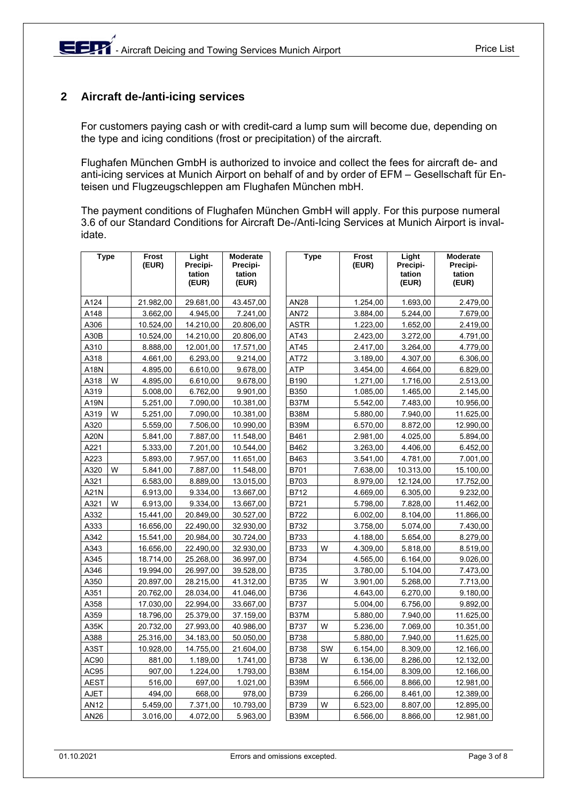## **2 Aircraft de-/anti-icing services**

For customers paying cash or with credit-card a lump sum will become due, depending on the type and icing conditions (frost or precipitation) of the aircraft.

Flughafen München GmbH is authorized to invoice and collect the fees for aircraft de- and anti-icing services at Munich Airport on behalf of and by order of EFM – Gesellschaft für Enteisen und Flugzeugschleppen am Flughafen München mbH.

The payment conditions of Flughafen München GmbH will apply. For this purpose numeral 3.6 of our Standard Conditions for Aircraft De-/Anti-Icing Services at Munich Airport is invalidate.

| <b>Type</b> |   | <b>Frost</b><br>(EUR) | Light<br>Precipi-<br>tation<br>(EUR) | <b>Moderate</b><br>Precipi-<br>tation<br>(EUR) | <b>Type</b> |    | Frost<br>(EUR) | Light<br>Precipi-<br>tation<br>(EUR) | <b>Moderate</b><br>Precipi-<br>tation<br>(EUR) |
|-------------|---|-----------------------|--------------------------------------|------------------------------------------------|-------------|----|----------------|--------------------------------------|------------------------------------------------|
| A124        |   | 21.982,00             | 29.681,00                            | 43.457,00                                      | <b>AN28</b> |    | 1.254,00       | 1.693,00                             | 2.479,00                                       |
| A148        |   | 3.662,00              | 4.945,00                             | 7.241,00                                       | <b>AN72</b> |    | 3.884,00       | 5.244,00                             | 7.679,00                                       |
| A306        |   | 10.524,00             | 14.210,00                            | 20.806,00                                      | <b>ASTR</b> |    | 1.223,00       | 1.652,00                             | 2.419,00                                       |
| A30B        |   | 10.524,00             | 14.210,00                            | 20.806,00                                      | AT43        |    | 2.423,00       | 3.272,00                             | 4.791,00                                       |
| A310        |   | 8.888,00              | 12.001,00                            | 17.571,00                                      | AT45        |    | 2.417,00       | 3.264,00                             | 4.779,00                                       |
| A318        |   | 4.661,00              | 6.293,00                             | 9.214,00                                       | AT72        |    | 3.189,00       | 4.307,00                             | 6.306,00                                       |
| A18N        |   | 4.895,00              | 6.610,00                             | 9.678,00                                       | <b>ATP</b>  |    | 3.454,00       | 4.664,00                             | 6.829,00                                       |
| A318        | W | 4.895,00              | 6.610,00                             | 9.678,00                                       | B190        |    | 1.271,00       | 1.716,00                             | 2.513,00                                       |
| A319        |   | 5.008,00              | 6.762,00                             | 9.901,00                                       | <b>B350</b> |    | 1.085,00       | 1.465,00                             | 2.145,00                                       |
| A19N        |   | 5.251,00              | 7.090,00                             | 10.381,00                                      | <b>B37M</b> |    | 5.542,00       | 7.483,00                             | 10.956,00                                      |
| A319        | W | 5.251,00              | 7.090,00                             | 10.381,00                                      | <b>B38M</b> |    | 5.880,00       | 7.940,00                             | 11.625,00                                      |
| A320        |   | 5.559,00              | 7.506,00                             | 10.990,00                                      | <b>B39M</b> |    | 6.570,00       | 8.872,00                             | 12.990,00                                      |
| <b>A20N</b> |   | 5.841,00              | 7.887,00                             | 11.548,00                                      | B461        |    | 2.981,00       | 4.025,00                             | 5.894,00                                       |
| A221        |   | 5.333,00              | 7.201,00                             | 10.544,00                                      | B462        |    | 3.263,00       | 4.406,00                             | 6.452,00                                       |
| A223        |   | 5.893,00              | 7.957,00                             | 11.651,00                                      | B463        |    | 3.541,00       | 4.781,00                             | 7.001,00                                       |
| A320        | W | 5.841,00              | 7.887,00                             | 11.548,00                                      | B701        |    | 7.638,00       | 10.313,00                            | 15.100,00                                      |
| A321        |   | 6.583,00              | 8.889,00                             | 13.015,00                                      | B703        |    | 8.979,00       | 12.124,00                            | 17.752,00                                      |
| A21N        |   | 6.913,00              | 9.334,00                             | 13.667,00                                      | B712        |    | 4.669,00       | 6.305,00                             | 9.232,00                                       |
| A321        | W | 6.913,00              | 9.334,00                             | 13.667,00                                      | B721        |    | 5.798,00       | 7.828,00                             | 11.462,00                                      |
| A332        |   | 15.441,00             | 20.849,00                            | 30.527,00                                      | <b>B722</b> |    | 6.002,00       | 8.104,00                             | 11.866,00                                      |
| A333        |   | 16.656,00             | 22.490,00                            | 32.930,00                                      | B732        |    | 3.758,00       | 5.074,00                             | 7.430,00                                       |
| A342        |   | 15.541,00             | 20.984,00                            | 30.724,00                                      | B733        |    | 4.188,00       | 5.654,00                             | 8.279,00                                       |
| A343        |   | 16.656,00             | 22.490,00                            | 32.930,00                                      | B733        | W  | 4.309,00       | 5.818,00                             | 8.519,00                                       |
| A345        |   | 18.714,00             | 25.268,00                            | 36.997,00                                      | B734        |    | 4.565,00       | 6.164,00                             | 9.026,00                                       |
| A346        |   | 19.994,00             | 26.997,00                            | 39.528,00                                      | B735        |    | 3.780,00       | 5.104,00                             | 7.473,00                                       |
| A350        |   | 20.897,00             | 28.215,00                            | 41.312,00                                      | B735        | W  | 3.901,00       | 5.268,00                             | 7.713,00                                       |
| A351        |   | 20.762,00             | 28.034,00                            | 41.046,00                                      | <b>B736</b> |    | 4.643,00       | 6.270,00                             | 9.180,00                                       |
| A358        |   | 17.030,00             | 22.994,00                            | 33.667,00                                      | <b>B737</b> |    | 5.004,00       | 6.756,00                             | 9.892,00                                       |
| A359        |   | 18.796,00             | 25.379,00                            | 37.159,00                                      | B37M        |    | 5.880,00       | 7.940,00                             | 11.625,00                                      |
| A35K        |   | 20.732,00             | 27.993,00                            | 40.986,00                                      | <b>B737</b> | W  | 5.236,00       | 7.069,00                             | 10.351,00                                      |
| A388        |   | 25.316,00             | 34.183,00                            | 50.050,00                                      | <b>B738</b> |    | 5.880,00       | 7.940,00                             | 11.625,00                                      |
| A3ST        |   | 10.928,00             | 14.755,00                            | 21.604,00                                      | <b>B738</b> | SW | 6.154,00       | 8.309,00                             | 12.166,00                                      |
| AC90        |   | 881,00                | 1.189,00                             | 1.741,00                                       | B738        | W  | 6.136,00       | 8.286,00                             | 12.132,00                                      |
| AC95        |   | 907,00                | 1.224,00                             | 1.793,00                                       | <b>B38M</b> |    | 6.154,00       | 8.309,00                             | 12.166,00                                      |
| <b>AEST</b> |   | 516,00                | 697,00                               | 1.021,00                                       | <b>B39M</b> |    | 6.566,00       | 8.866,00                             | 12.981,00                                      |
| <b>AJET</b> |   | 494,00                | 668,00                               | 978,00                                         | <b>B739</b> |    | 6.266,00       | 8.461,00                             | 12.389,00                                      |
| AN12        |   | 5.459,00              | 7.371,00                             | 10.793,00                                      | <b>B739</b> | W  | 6.523,00       | 8.807,00                             | 12.895,00                                      |
| AN26        |   | 3.016,00              | 4.072,00                             | 5.963,00                                       | <b>B39M</b> |    | 6.566,00       | 8.866,00                             | 12.981,00                                      |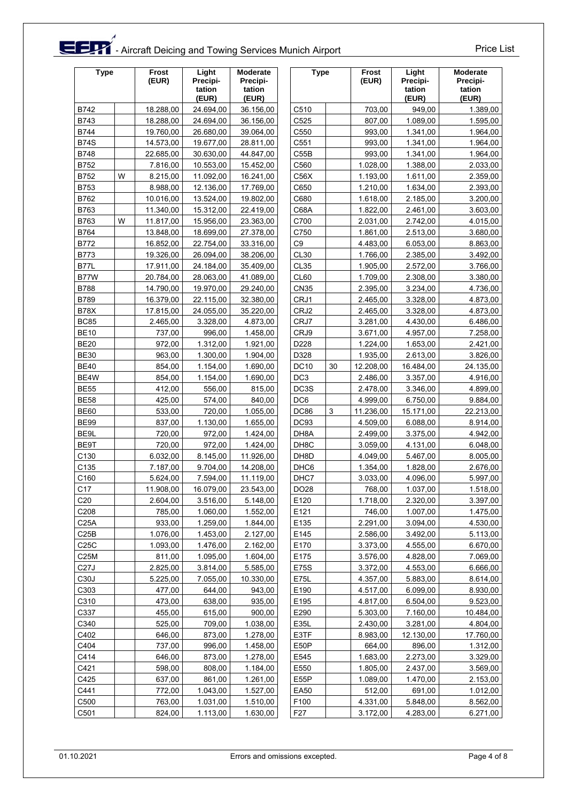# **EDTA** - Aircraft Deicing and Towing Services Munich Airport Price List

| <b>Type</b>      |   | Frost<br>(EUR) | Light<br>Precipi-<br>tation<br>(EUR) | <b>Moderate</b><br>Precipi-<br>tation<br>(EUR) |                   | <b>Type</b> |           | Light<br>Precipi-<br>tation<br>(EUR) | <b>Moderate</b><br>Precipi-<br>tation<br>(EUR) |
|------------------|---|----------------|--------------------------------------|------------------------------------------------|-------------------|-------------|-----------|--------------------------------------|------------------------------------------------|
| B742             |   | 18.288,00      | 24.694,00                            | 36.156,00                                      | C510              |             | 703,00    | 949,00                               | 1.389,00                                       |
| B743             |   | 18.288,00      | 24.694,00                            | 36.156,00                                      | C525              |             | 807.00    | 1.089,00                             | 1.595,00                                       |
| B744             |   | 19.760,00      | 26.680,00                            | 39.064,00                                      | C550              |             | 993,00    | 1.341,00                             | 1.964,00                                       |
| <b>B74S</b>      |   | 14.573,00      | 19.677,00                            | 28.811,00                                      | C551              |             | 993,00    | 1.341,00                             | 1.964,00                                       |
| B748             |   | 22.685,00      | 30.630,00                            | 44.847,00                                      | C55B              |             | 993,00    | 1.341,00                             | 1.964,00                                       |
| B752             |   | 7.816,00       | 10.553,00                            | 15.452,00                                      | C560              |             | 1.028,00  | 1.388,00                             | 2.033,00                                       |
| B752             | W | 8.215,00       | 11.092,00                            | 16.241,00                                      | C56X              |             | 1.193,00  | 1.611,00                             | 2.359,00                                       |
| B753             |   | 8.988,00       | 12.136,00                            | 17.769,00                                      | C650              |             | 1.210,00  | 1.634,00                             | 2.393,00                                       |
| B762             |   | 10.016,00      | 13.524,00                            | 19.802,00                                      | C680              |             | 1.618,00  | 2.185,00                             | 3.200,00                                       |
| B763             |   | 11.340,00      | 15.312,00                            | 22.419,00                                      | C68A              |             | 1.822,00  | 2.461,00                             | 3.603,00                                       |
| B763             | W | 11.817,00      | 15.956,00                            | 23.363,00                                      | C700              |             | 2.031,00  | 2.742,00                             | 4.015,00                                       |
| B764             |   | 13.848,00      | 18.699,00                            | 27.378,00                                      | C750              |             | 1.861,00  | 2.513,00                             | 3.680,00                                       |
| B772             |   | 16.852,00      | 22.754,00                            | 33.316,00                                      | C <sub>9</sub>    |             | 4.483,00  | 6.053,00                             | 8.863,00                                       |
| B773             |   | 19.326,00      | 26.094,00                            | 38.206,00                                      | <b>CL30</b>       |             | 1.766,00  | 2.385,00                             | 3.492,00                                       |
| <b>B77L</b>      |   | 17.911,00      | 24.184,00                            | 35.409,00                                      | <b>CL35</b>       |             | 1.905,00  | 2.572,00                             | 3.766,00                                       |
| B77W             |   | 20.784,00      | 28.063,00                            | 41.089,00                                      | CL60              |             | 1.709,00  | 2.308,00                             | 3.380,00                                       |
| B788             |   | 14.790,00      | 19.970,00                            | 29.240,00                                      | <b>CN35</b>       |             | 2.395,00  | 3.234,00                             | 4.736,00                                       |
| B789             |   | 16.379,00      | 22.115,00                            | 32.380,00                                      | CRJ1              |             | 2.465,00  | 3.328,00                             | 4.873,00                                       |
| <b>B78X</b>      |   | 17.815,00      | 24.055,00                            | 35.220,00                                      | CRJ2              |             | 2.465,00  | 3.328,00                             | 4.873,00                                       |
| <b>BC85</b>      |   | 2.465,00       | 3.328,00                             | 4.873,00                                       | CRJ7              |             | 3.281,00  | 4.430,00                             | 6.486,00                                       |
| <b>BE10</b>      |   | 737,00         | 996,00                               | 1.458,00                                       | CRJ9              |             | 3.671,00  | 4.957,00                             | 7.258,00                                       |
| <b>BE20</b>      |   | 972,00         | 1.312,00                             | 1.921,00                                       | D228              |             | 1.224,00  | 1.653,00                             | 2.421,00                                       |
| <b>BE30</b>      |   | 963,00         | 1.300,00                             | 1.904,00                                       | D328              |             | 1.935,00  | 2.613,00                             | 3.826,00                                       |
| <b>BE40</b>      |   | 854,00         | 1.154,00                             | 1.690,00                                       | <b>DC10</b>       | 30          | 12.208,00 | 16.484,00                            | 24.135,00                                      |
| BE4W             |   | 854,00         | 1.154,00                             | 1.690,00                                       | DC <sub>3</sub>   |             | 2.486,00  | 3.357,00                             | 4.916,00                                       |
| <b>BE55</b>      |   | 412,00         | 556,00                               | 815,00                                         | DC3S              |             | 2.478,00  | 3.346,00                             | 4.899,00                                       |
| <b>BE58</b>      |   | 425,00         | 574,00                               | 840,00                                         | DC6               |             | 4.999,00  | 6.750,00                             | 9.884,00                                       |
| <b>BE60</b>      |   | 533,00         | 720,00                               | 1.055,00                                       | <b>DC86</b>       | 3           | 11.236,00 | 15.171,00                            | 22.213,00                                      |
| <b>BE99</b>      |   | 837,00         | 1.130,00                             | 1.655,00                                       | DC93              |             | 4.509,00  | 6.088,00                             | 8.914,00                                       |
| BE9L             |   | 720,00         | 972,00                               | 1.424,00                                       | DH8A              |             | 2.499,00  | 3.375,00                             | 4.942,00                                       |
| BE9T             |   | 720,00         | 972,00                               | 1.424,00                                       | DH <sub>8</sub> C |             | 3.059,00  | 4.131,00                             | 6.048,00                                       |
| C130             |   | 6.032,00       | 8.145,00                             | 11.926,00                                      | DH8D              |             | 4.049,00  | 5.467,00                             | 8.005,00                                       |
| C135             |   | 7.187,00       | 9.704.00                             | 14.208,00                                      | DHC6              |             | 1.354,00  | 1.828,00                             | 2.676,00                                       |
| C160             |   | 5.624,00       | 7.594,00                             | 11.119,00                                      | DHC7              |             | 3.033,00  | 4.096,00                             | 5.997,00                                       |
| C17              |   | 11.908,00      | 16.079,00                            | 23.543,00                                      | DO28              |             | 768,00    | 1.037,00                             | 1.518,00                                       |
| C <sub>20</sub>  |   | 2.604,00       | 3.516,00                             | 5.148,00                                       | E120              |             | 1.718,00  | 2.320,00                             | 3.397,00                                       |
| C208             |   | 785,00         | 1.060,00                             | 1.552,00                                       | E121              |             | 746,00    | 1.007,00                             | 1.475,00                                       |
| C <sub>25A</sub> |   | 933,00         | 1.259,00                             | 1.844,00                                       | E135              |             | 2.291,00  | 3.094,00                             | 4.530,00                                       |
| C25B             |   | 1.076,00       | 1.453,00                             | 2.127,00                                       | E145              |             | 2.586,00  | 3.492,00                             | 5.113,00                                       |
| C25C             |   | 1.093,00       | 1.476,00                             | 2.162,00                                       | E170              |             | 3.373,00  | 4.555,00                             | 6.670,00                                       |
| C25M             |   | 811,00         | 1.095,00                             | 1.604,00                                       | E175              |             | 3.576,00  | 4.828,00                             | 7.069,00                                       |
| C27J             |   | 2.825,00       | 3.814,00                             | 5.585,00                                       | E75S              |             | 3.372,00  | 4.553,00                             | 6.666,00                                       |
| C <sub>30</sub>  |   | 5.225,00       | 7.055,00                             | 10.330,00                                      | E75L              |             | 4.357,00  | 5.883,00                             | 8.614,00                                       |
| C303             |   | 477,00         | 644,00                               | 943,00                                         | E190              |             | 4.517,00  | 6.099,00                             | 8.930,00                                       |
| C310             |   | 473,00         | 638,00                               | 935,00                                         | E195              |             | 4.817,00  | 6.504,00                             | 9.523,00                                       |
| C337             |   | 455,00         | 615,00                               | 900,00                                         | E290              |             | 5.303,00  | 7.160,00                             | 10.484,00                                      |
| C340             |   | 525,00         | 709,00                               | 1.038,00                                       | E35L              |             | 2.430,00  | 3.281,00                             | 4.804,00                                       |
| C402             |   | 646,00         | 873,00                               | 1.278,00                                       | E3TF              |             | 8.983,00  | 12.130,00                            | 17.760,00                                      |
| C404             |   | 737,00         | 996,00                               | 1.458,00                                       | E50P              |             | 664,00    | 896,00                               | 1.312,00                                       |
| C414             |   | 646,00         | 873,00                               | 1.278,00                                       | E545              |             | 1.683,00  | 2.273,00                             | 3.329,00                                       |
| C421             |   | 598,00         | 808,00                               | 1.184,00                                       | E550              |             | 1.805,00  | 2.437,00                             | 3.569,00                                       |
| C425             |   | 637,00         | 861,00                               | 1.261,00                                       | E55P              |             | 1.089,00  | 1.470,00                             | 2.153,00                                       |
| C441             |   | 772,00         | 1.043,00                             | 1.527,00                                       | <b>EA50</b>       |             | 512,00    | 691,00                               | 1.012,00                                       |
| C500             |   | 763,00         | 1.031,00                             | 1.510,00                                       | F100              |             | 4.331,00  | 5.848,00                             | 8.562,00                                       |
| C501             |   | 824,00         | 1.113,00                             | 1.630,00                                       | F <sub>27</sub>   |             | 3.172,00  | 4.283,00                             | 6.271,00                                       |
|                  |   |                |                                      |                                                |                   |             |           |                                      |                                                |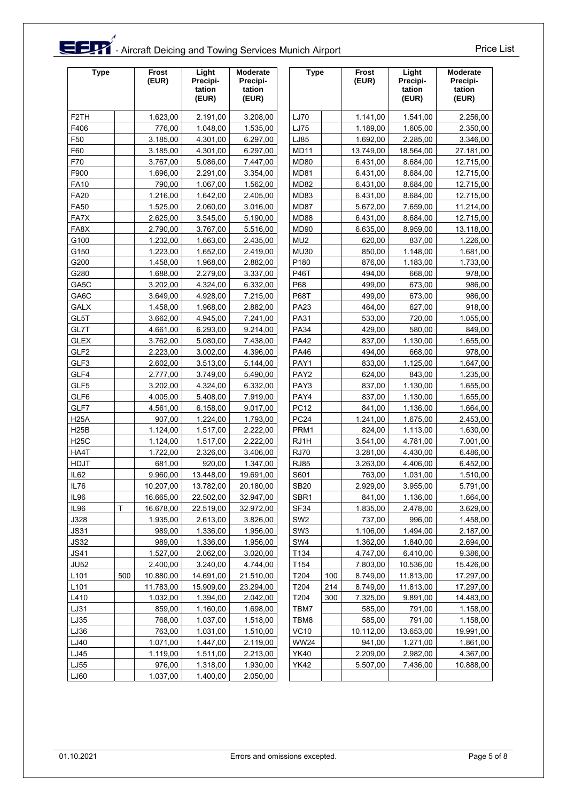# et a Aircraft Deicing and Towing Services Munich Airport Price List

| <b>Type</b>      |     | Frost<br>(EUR) | Light<br>Precipi-<br>tation<br>(EUR) | <b>Moderate</b><br>Precipi-<br>tation<br>(EUR) | <b>Type</b>      |     | Frost<br>(EUR) | Light<br>Precipi-<br>tation<br>(EUR) | <b>Moderate</b><br>Precipi-<br>tation<br>(EUR) |
|------------------|-----|----------------|--------------------------------------|------------------------------------------------|------------------|-----|----------------|--------------------------------------|------------------------------------------------|
| F2TH             |     | 1.623,00       | 2.191,00                             | 3.208,00                                       | LJ70             |     | 1.141,00       | 1.541,00                             | 2.256,00                                       |
| F406             |     | 776,00         | 1.048,00                             | 1.535,00                                       | <b>LJ75</b>      |     | 1.189,00       | 1.605,00                             | 2.350,00                                       |
| F50              |     | 3.185,00       | 4.301,00                             | 6.297,00                                       | LJ85             |     | 1.692,00       | 2.285,00                             | 3.346,00                                       |
| F60              |     | 3.185,00       | 4.301,00                             | 6.297,00                                       | <b>MD11</b>      |     | 13.749,00      | 18.564,00                            | 27.181,00                                      |
| F70              |     | 3.767,00       | 5.086,00                             | 7.447,00                                       | <b>MD80</b>      |     | 6.431,00       | 8.684,00                             | 12.715,00                                      |
| F900             |     | 1.696,00       | 2.291,00                             | 3.354,00                                       | <b>MD81</b>      |     | 6.431,00       | 8.684,00                             | 12.715,00                                      |
| <b>FA10</b>      |     | 790,00         | 1.067,00                             | 1.562,00                                       | <b>MD82</b>      |     | 6.431,00       | 8.684,00                             | 12.715,00                                      |
| <b>FA20</b>      |     | 1.216,00       | 1.642,00                             | 2.405,00                                       | MD83             |     | 6.431,00       | 8.684,00                             | 12.715,00                                      |
| <b>FA50</b>      |     | 1.525,00       | 2.060,00                             | 3.016,00                                       | MD87             |     | 5.672,00       | 7.659,00                             | 11.214,00                                      |
| FA7X             |     | 2.625,00       | 3.545,00                             | 5.190,00                                       | <b>MD88</b>      |     | 6.431,00       | 8.684,00                             | 12.715,00                                      |
| FA8X             |     | 2.790,00       | 3.767,00                             | 5.516,00                                       | <b>MD90</b>      |     | 6.635,00       | 8.959,00                             | 13.118,00                                      |
| G100             |     | 1.232,00       | 1.663,00                             | 2.435,00                                       | MU <sub>2</sub>  |     | 620,00         | 837,00                               | 1.226,00                                       |
| G150             |     | 1.223,00       | 1.652,00                             | 2.419,00                                       | <b>MU30</b>      |     | 850,00         | 1.148,00                             | 1.681,00                                       |
| G200             |     | 1.458,00       | 1.968,00                             | 2.882,00                                       | P180             |     | 876,00         | 1.183,00                             | 1.733,00                                       |
| G280             |     | 1.688,00       | 2.279,00                             | 3.337,00                                       | <b>P46T</b>      |     | 494,00         | 668,00                               | 978,00                                         |
| GA5C             |     | 3.202,00       | 4.324,00                             | 6.332,00                                       | P68              |     | 499,00         | 673,00                               | 986,00                                         |
| GA6C             |     | 3.649,00       | 4.928,00                             | 7.215,00                                       | <b>P68T</b>      |     | 499,00         | 673,00                               | 986,00                                         |
| <b>GALX</b>      |     | 1.458,00       | 1.968,00                             | 2.882,00                                       | <b>PA23</b>      |     | 464,00         | 627,00                               | 918,00                                         |
| GL5T             |     | 3.662,00       | 4.945,00                             | 7.241,00                                       | <b>PA31</b>      |     | 533,00         | 720,00                               | 1.055,00                                       |
| GL7T             |     | 4.661,00       | 6.293,00                             | 9.214,00                                       | PA34             |     | 429,00         | 580,00                               | 849,00                                         |
| <b>GLEX</b>      |     | 3.762,00       | 5.080,00                             | 7.438,00                                       | <b>PA42</b>      |     | 837,00         | 1.130,00                             | 1.655,00                                       |
| GLF <sub>2</sub> |     | 2.223,00       | 3.002,00                             | 4.396,00                                       | <b>PA46</b>      |     | 494,00         | 668,00                               | 978,00                                         |
| GLF3             |     | 2.602,00       | 3.513,00                             | 5.144,00                                       | PAY1             |     | 833,00         | 1.125,00                             | 1.647,00                                       |
| GLF4             |     | 2.777,00       | 3.749,00                             | 5.490,00                                       | PAY2             |     | 624,00         | 843,00                               | 1.235,00                                       |
| GLF5             |     | 3.202,00       | 4.324,00                             | 6.332,00                                       | PAY3             |     | 837,00         | 1.130,00                             | 1.655,00                                       |
| GLF6             |     | 4.005,00       | 5.408,00                             | 7.919,00                                       | PAY4             |     | 837,00         | 1.130,00                             | 1.655,00                                       |
| GLF7             |     | 4.561,00       | 6.158,00                             | 9.017,00                                       | <b>PC12</b>      |     | 841,00         | 1.136,00                             | 1.664,00                                       |
| <b>H25A</b>      |     | 907,00         | 1.224,00                             | 1.793,00                                       | PC <sub>24</sub> |     | 1.241,00       | 1.675,00                             | 2.453,00                                       |
| <b>H25B</b>      |     | 1.124,00       | 1.517,00                             | 2.222,00                                       | PRM1             |     | 824,00         | 1.113,00                             | 1.630,00                                       |
| <b>H25C</b>      |     | 1.124,00       | 1.517,00                             | 2.222,00                                       | RJ1H             |     | 3.541,00       | 4.781,00                             | 7.001,00                                       |
| HA4T             |     | 1.722,00       | 2.326,00                             | 3.406,00                                       | <b>RJ70</b>      |     | 3.281,00       | 4.430,00                             | 6.486,00                                       |
| <b>HDJT</b>      |     | 681,00         | 920,00                               | 1.347,00                                       | <b>RJ85</b>      |     | 3.263,00       | 4.406,00                             | 6.452,00                                       |
| IL62             |     | 9.960,00       | 13.448,00                            | 19.691,00                                      | S601             |     | 763,00         | 1.031,00                             | 1.510,00                                       |
| IL76             |     | 10.207,00      | 13.782,00                            | 20.180,00                                      | <b>SB20</b>      |     | 2.929,00       | 3.955,00                             | 5.791,00                                       |
| IL96             |     | 16.665,00      | 22.502,00                            | 32.947,00                                      | SBR <sub>1</sub> |     | 841,00         | 1.136,00                             | 1.664,00                                       |
| IL96             | T   | 16.678,00      | 22.519,00                            | 32.972,00                                      | <b>SF34</b>      |     | 1.835,00       | 2.478,00                             | 3.629,00                                       |
| J328             |     | 1.935,00       | 2.613,00                             | 3.826,00                                       | SW <sub>2</sub>  |     | 737,00         | 996,00                               | 1.458,00                                       |
| <b>JS31</b>      |     | 989,00         | 1.336,00                             | 1.956,00                                       | SW <sub>3</sub>  |     | 1.106,00       | 1.494,00                             | 2.187,00                                       |
| <b>JS32</b>      |     | 989,00         | 1.336,00                             | 1.956,00                                       | SW4              |     | 1.362,00       | 1.840,00                             | 2.694,00                                       |
| <b>JS41</b>      |     | 1.527,00       | 2.062,00                             | 3.020,00                                       | T134             |     | 4.747,00       | 6.410,00                             | 9.386,00                                       |
| <b>JU52</b>      |     | 2.400,00       | 3.240,00                             | 4.744,00                                       | T154             |     | 7.803,00       | 10.536,00                            | 15.426,00                                      |
| L <sub>101</sub> | 500 | 10.880,00      | 14.691,00                            | 21.510,00                                      | T204             | 100 | 8.749,00       | 11.813,00                            | 17.297,00                                      |
| L <sub>101</sub> |     | 11.783,00      | 15.909,00                            | 23.294,00                                      | T204             | 214 | 8.749,00       | 11.813,00                            | 17.297,00                                      |
| L410             |     | 1.032,00       | 1.394,00                             | 2.042,00                                       | T204             | 300 | 7.325,00       | 9.891,00                             | 14.483,00                                      |
| LJ31             |     | 859,00         | 1.160,00                             | 1.698,00                                       | TBM7             |     | 585,00         | 791,00                               | 1.158,00                                       |
| LJ35             |     | 768,00         | 1.037,00                             | 1.518,00                                       | TBM8             |     | 585,00         | 791,00                               | 1.158,00                                       |
| LJ36             |     | 763,00         | 1.031,00                             | 1.510,00                                       | <b>VC10</b>      |     | 10.112,00      | 13.653,00                            | 19.991,00                                      |
| LJ40             |     | 1.071,00       | 1.447,00                             | 2.119,00                                       | <b>WW24</b>      |     | 941,00         | 1.271,00                             | 1.861,00                                       |
| LJ45             |     | 1.119,00       | 1.511,00                             | 2.213,00                                       | <b>YK40</b>      |     | 2.209,00       | 2.982,00                             | 4.367,00                                       |
| LJ55             |     | 976,00         | 1.318,00                             | 1.930,00                                       | <b>YK42</b>      |     | 5.507,00       | 7.436,00                             | 10.888,00                                      |
| LJ60             |     | 1.037,00       | 1.400,00                             | 2.050,00                                       |                  |     |                |                                      |                                                |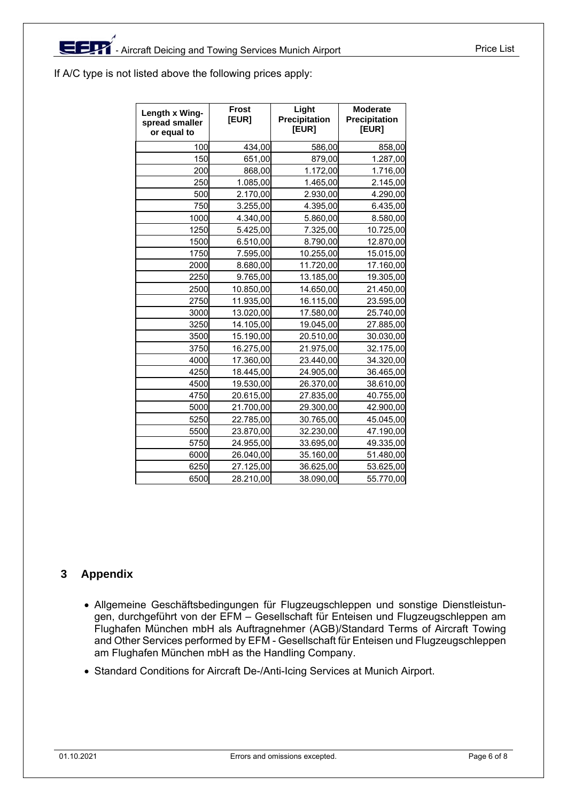If A/C type is not listed above the following prices apply:

| Length x Wing-<br>spread smaller<br>or equal to | <b>Frost</b><br>[EUR] | Light<br>Precipitation<br>[EUR] | <b>Moderate</b><br>Precipitation<br>[EUR] |
|-------------------------------------------------|-----------------------|---------------------------------|-------------------------------------------|
| 100                                             | 434,00                | 586,00                          | 858,00                                    |
| 150                                             | 651,00                | 879,00                          | 1.287,00                                  |
| 200                                             | 868,00                | 1.172,00                        | 1.716,00                                  |
| 250                                             | 1.085,00              | 1.465,00                        | 2.145,00                                  |
| 500                                             | 2.170,00              | 2.930,00                        | 4.290,00                                  |
| 750                                             | 3.255,00              | 4.395,00                        | 6.435,00                                  |
| 1000                                            | 4.340,00              | 5.860,00                        | 8.580,00                                  |
| 1250                                            | 5.425,00              | 7.325,00                        | 10.725,00                                 |
| 1500                                            | 6.510,00              | 8.790,00                        | 12.870,00                                 |
| 1750                                            | 7.595,00              | 10.255,00                       | 15.015,00                                 |
| 2000                                            | 8.680,00              | 11.720,00                       | 17.160,00                                 |
| 2250                                            | 9.765,00              | 13.185,00                       | 19.305,00                                 |
| 2500                                            | 10.850,00             | 14.650,00                       | 21.450,00                                 |
| 2750                                            | 11.935,00             | 16.115,00                       | 23.595,00                                 |
| 3000                                            | 13.020,00             | 17.580,00                       | 25.740,00                                 |
| 3250                                            | 14.105,00             | 19.045,00                       | 27.885,00                                 |
| 3500                                            | 15.190,00             | 20.510,00                       | 30.030,00                                 |
| 3750                                            | 16.275,00             | 21.975,00                       | 32.175,00                                 |
| 4000                                            | 17.360,00             | 23.440,00                       | 34.320,00                                 |
| 4250                                            | 18.445,00             | 24.905,00                       | 36.465,00                                 |
| 4500                                            | 19.530,00             | 26.370,00                       | 38.610,00                                 |
| 4750                                            | 20.615,00             | 27.835,00                       | 40.755,00                                 |
| 5000                                            | 21.700,00             | 29.300,00                       | 42.900,00                                 |
| 5250                                            | 22.785,00             | 30.765,00                       | 45.045,00                                 |
| 5500                                            | 23.870,00             | 32.230,00                       | 47.190,00                                 |
| 5750                                            | 24.955,00             | 33.695,00                       | 49.335,00                                 |
| 6000                                            | 26.040,00             | 35.160,00                       | 51.480,00                                 |
| 6250                                            | 27.125,00             | 36.625,00                       | 53.625,00                                 |
| 6500                                            | 28.210,00             | 38.090,00                       | 55.770,00                                 |

## **3 Appendix**

- Allgemeine Geschäftsbedingungen für Flugzeugschleppen und sonstige Dienstleistungen, durchgeführt von der EFM – Gesellschaft für Enteisen und Flugzeugschleppen am Flughafen München mbH als Auftragnehmer (AGB)/Standard Terms of Aircraft Towing and Other Services performed by EFM - Gesellschaft für Enteisen und Flugzeugschleppen am Flughafen München mbH as the Handling Company.
- Standard Conditions for Aircraft De-/Anti-Icing Services at Munich Airport.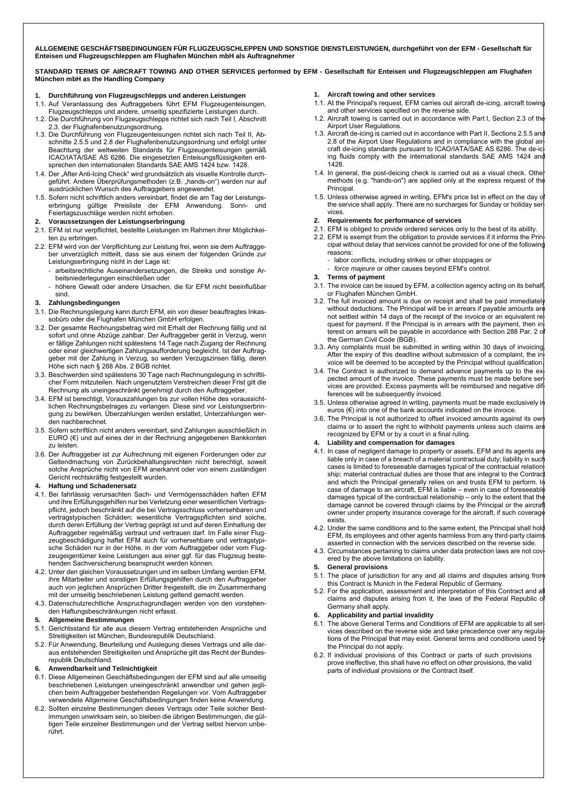**ALLGEMEINE GESCHÄFTSBEDINGUNGEN FÜR FLUGZEUGSCHLEPPEN UND SONSTIGE DIENSTLEISTUNGEN, durchgeführt von der EFM - Gesellschaft für Enteisen und Flugzeugschleppen am Flughafen München mbH als Auftragnehmer** 

**STANDARD TERMS OF AIRCRAFT TOWING AND OTHER SERVICES performed by EFM - Gesellschaft für Enteisen und Flugzeugschleppen am Flughafen München mbH as the Handling Company** 

#### **1. Durchführung von Flugzeugschlepps und anderen Leistungen**

- 1.1. Auf Veranlassung des Auftraggebers führt EFM Flugzeugenteisungen, Flugzeugschlepps und andere, umseitig spezifizierte Leistungen durch.
- 1.2. Die Durchführung von Flugzeugschlepps richtet sich nach Teil I, Abschnitt 2.3. der Flughafenbenutzungsordnung.
- 1.3. Die Durchführung von Flugzeugenteisungen richtet sich nach Teil II, Abschnitte 2.5.5 und 2.8 der Flughafenbenutzungsordnung und erfolgt unter Beachtung der weltweiten Standards für Flugzeugenteisungen gemäß ICAO/IATA/SAE AS 6286. Die eingesetzten Enteisungsflüssigkeiten entsprechen den internationalen Standards SAE AMS 1424 bzw. 1428.
- 1.4. Der "After Anti-Icing Check" wird grundsätzlich als visuelle Kontrolle durchgeführt. Andere Überprüfungsmethoden (z.B. "hands-on") werden nur auf ausdrücklichen Wunsch des Auftraggebers angewendet.
- 1.5. Sofern nicht schriftlich anders vereinbart, findet die am Tag der Leistungserbringung gültige Preisliste der EFM Anwendung. Feiertagszuschläge werden nicht erhoben.
- **2. Voraussetzungen der Leistungserbringung**
- 2.1. EFM ist nur verpflichtet, bestellte Leistungen im Rahmen ihrer Möglichkeiten zu erbringen.
- 2.2. EFM wird von der Verpflichtung zur Leistung frei, wenn sie dem Auftraggeber unverzüglich mitteilt, dass sie aus einem der folgenden Gründe zur Leistungserbringung nicht in der Lage ist:
	- arbeitsrechtliche Auseinandersetzungen, die Streiks und sonstige Arbeitsniederlegungen einschließen oder
	- höhere Gewalt oder andere Ursachen, die für EFM nicht beeinflußbar sind.

#### **3. Zahlungsbedingungen**

- 3.1. Die Rechnungslegung kann durch EFM, ein von dieser beauftragtes Inkassobüro oder die Flughafen München GmbH erfolgen.
- 3.2. Der gesamte Rechnungsbetrag wird mit Erhalt der Rechnung fällig und ist sofort und ohne Abzüge zahlbar. Der Auftraggeber gerät in Verzug, wenn er fällige Zahlungen nicht spätestens 14 Tage nach Zugang der Rechnung oder einer gleichwertigen Zahlungsaufforderung begleicht. Ist der Auftraggeber mit der Zahlung in Verzug, so werden Verzugszinsen fällig, deren Höhe sich nach § 288 Abs. 2 BGB richtet.
- 3.3. Beschwerden sind spätestens 30 Tage nach Rechnungslegung in schriftlicher Form mitzuteilen. Nach ungenutztem Verstreichen dieser Frist gilt die Rechnung als uneingeschränkt genehmigt durch den Auftraggeber.
- 3.4. EFM ist berechtigt, Vorauszahlungen bis zur vollen Höhe des voraussichtlichen Rechnungsbetrages zu verlangen. Diese sind vor Leistungserbringung zu bewirken. Überzahlungen werden erstattet, Unterzahlungen werden nachberechnet.
- 3.5. Sofern schriftlich nicht anders vereinbart, sind Zahlungen ausschließlich in EURO (€) und auf eines der in der Rechnung angegebenen Bankkonten zu leisten.
- 3.6. Der Auftraggeber ist zur Aufrechnung mit eigenen Forderungen oder zur Geltendmachung von Zurückbehaltungsrechten nicht berechtigt, soweit solche Ansprüche nicht von EFM anerkannt oder von einem zuständigen Gericht rechtskräftig festgestellt wurden.

#### **4. Haftung und Schadenersatz**

- 4.1. Bei fahrlässig verursachten Sach- und Vermögensschäden haften EFM und ihre Erfüllungsgehilfen nur bei Verletzung einer wesentlichen Vertragspflicht, jedoch beschränkt auf die bei Vertragsschluss vorhersehbaren und vertragstypischen Schäden; wesentliche Vertragspflichten sind solche, durch deren Erfüllung der Vertrag geprägt ist und auf deren Einhaltung der Auftraggeber regelmäßig vertraut und vertrauen darf. Im Falle einer Flugzeugbeschädigung haftet EFM auch für vorhersehbare und vertragstypische Schäden nur in der Höhe, in der vom Auftraggeber oder vom Flugzeugeigentümer keine Leistungen aus einer ggf. für das Flugzeug bestehenden Sachversicherung beansprucht werden können.
- 4.2. Unter den gleichen Voraussetzungen und im selben Umfang werden EFM, ihre Mitarbeiter und sonstigen Erfüllungsgehilfen durch den Auftraggeber auch von jeglichen Ansprüchen Dritter freigestellt, die im Zusammenhang mit der umseitig beschriebenen Leistung geltend gemacht werden.
- 4.3. Datenschutzrechtliche Anspruchsgrundlagen werden von den vorstehenden Haftungsbeschränkungen nicht erfasst.

#### **5. Allgemeine Bestimmungen**

- 5.1. Gerichtsstand für alle aus diesem Vertrag entstehenden Ansprüche und Streitigkeiten ist München, Bundesrepublik Deutschland.
- 5.2. Für Anwendung, Beurteilung und Auslegung dieses Vertrags und alle daraus entstehenden Streitigkeiten und Ansprüche gilt das Recht der Bundesrepublik Deutschland.

#### **6. Anwendbarkeit und Teilnichtigkeit**

- 6.1. Diese Allgemeinen Geschäftsbedingungen der EFM sind auf alle umseitig beschriebenen Leistungen uneingeschränkt anwendbar und gehen jeglichen beim Auftraggeber bestehenden Regelungen vor. Vom Auftraggeber verwendete Allgemeine Geschäftsbedingungen finden keine Anwendung.
- 6.2. Sollten einzelne Bestimmungen dieses Vertrags oder Teile solcher Bestimmungen unwirksam sein, so bleiben die übrigen Bestimmungen, die gültigen Teile einzelner Bestimmungen und der Vertrag selbst hiervon unberührt.

#### **1. Aircraft towing and other services**

- 1.1. At the Principal's request, EFM carries out aircraft de-icing, aircraft towing and other services specified on the reverse side.
- 1.2. Aircraft towing is carried out in accordance with Part I, Section 2.3 of the Airport User Regulations.
- 1.3. Aircraft de-icing is carried out in accordance with Part II, Sections 2.5.5 and 2.8 of the Airport User Regulations and in compliance with the global air craft de-icing standards pursuant to ICAO/IATA/SAE AS 6286. The de-ic ing fluids comply with the international standards SAE AMS 1424 and 1428.
- 1.4. In general, the post-deicing check is carried out as a visual check. Othe methods (e.g. "hands-on") are applied only at the express request of the Principal.
- 1.5. Unless otherwise agreed in writing, EFM's price list in effect on the day of the service shall apply. There are no surcharges for Sunday or holiday services.
- **2. Requirements for performance of services**
- 2.1. EFM is obliged to provide ordered services only to the best of its ability. 2.2. EFM is exempt from the obligation to provide services if it informs the Principal without delay that services cannot be provided for one of the following reasons:
	- labor conflicts, including strikes or other stoppages or
	- force majeure or other causes beyond EFM's control.
- **3. Terms of payment**
- 3.1. The invoice can be issued by EFM, a collection agency acting on its behalf or Flughafen München GmbH.
- 3.2. The full invoiced amount is due on receipt and shall be paid immediatel without deductions. The Principal will be in arrears if payable amounts are not settled within 14 days of the receipt of the invoice or an equivalent request for payment. If the Principal is in arrears with the payment, then interest on arrears will be payable in accordance with Section 288 Par. 2 of the German Civil Code (BGB).
- 3.3. Any complaints must be submitted in writing within 30 days of invoicing. After the expiry of this deadline without submission of a complaint, the invoice will be deemed to be accepted by the Principal without qualification.
- 3.4. The Contract is authorized to demand advance payments up to the expected amount of the invoice. These payments must be made before ser vices are provided. Excess payments will be reimbursed and negative differences will be subsequently invoiced.
- 3.5. Unless otherwise agreed in writing, payments must be made exclusively i euros (€) into one of the bank accounts indicated on the invoice.
- 3.6. The Principal is not authorized to offset invoiced amounts against its own claims or to assert the right to withhold payments unless such claims ar recognized by EFM or by a court in a final ruling.
- **4. Liability and compensation for damages**
- 4.1. In case of negligent damage to property or assets, EFM and its agents are liable only in case of a breach of a material contractual duty; liability in such cases is limited to foreseeable damages typical of the contractual relationship; material contractual duties are those that are integral to the Contract and which the Principal generally relies on and trusts EFM to perform. In case of damage to an aircraft, EFM is liable – even in case of foreseeable damages typical of the contractual relationship – only to the extent that the damage cannot be covered through claims by the Principal or the aircraft owner under property insurance coverage for the aircraft, if such coverage exists.
- 4.2. Under the same conditions and to the same extent, the Principal shall hold EFM, its employees and other agents harmless from any third-party claims asserted in connection with the services described on the reverse side.
- 4.3. Circumstances pertaining to claims under data protection laws are not covered by the above limitations on liability.

#### **5. General provisions**

- 5.1. The place of jurisdiction for any and all claims and disputes arising from this Contract is Munich in the Federal Republic of Germany.
- 5.2. For the application, assessment and interpretation of this Contract and a claims and disputes arising from it, the laws of the Federal Republic o Germany shall apply.

#### **6. Applicability and partial invalidity**

- 6.1. The above General Terms and Conditions of EFM are applicable to all services described on the reverse side and take precedence over any regulations of the Principal that may exist. General terms and conditions used b the Principal do not apply.
- 6.2. If individual provisions of this Contract or parts of such provisions prove ineffective, this shall have no effect on other provisions, the valid parts of individual provisions or the Contract itself.